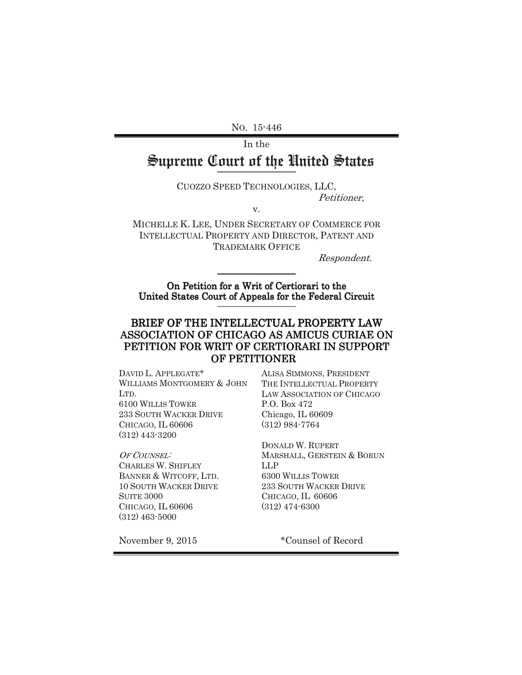No. 15-446

# In the Supreme Court of the United States No. 15-446<br>In the<br>**Teme Court of the United** ?<br>Cuozzo Speed Technologies, LLC, Supreme Court of the United States

CUOZZO SPEED TECHNOLOGIES, LLC, Petitioner,

 $V.$ 

MICHELLE K. LEE, UNDER SECRETARY OF COMMERCE FOR INTELLECTUAL PROPERTY AND DIRECTOR, PATENT AND **TRADEMARK OFFICE** 

Respondent.

Respondent.<br>
On Petition for a Writ of Certiorari to the United States Court of Appeals for the Federal Circuit

# BRIEF OF THE INTELLECTUAL PROPERTY LAW ASSOCIATION OF CHICAGO AS AMICUS CURIAE ON PETITION FOR WRIT OF CERTIORARI IN SUPPORT OF PETITIONER United States Court of Appeals for the Federal Circuit<br>BRIEF OF THE INTELLECTUAL PROPERTY LAW<br>ASSOCIATION OF CHICAGO AS AMICUS CURIAE ON<br>PETITION FOR WRIT OF CERTIORARI IN SUPPORT<br>OF PETITIONER<br>DAVID L. APPLEGATE\* ALISA SI PETITION FOR WRIT OF CERTIORARI IN SUPPORT

DAVID L. APPLEGATE\* ALISA SIMMONS, PRES WILLIAMS MONTGOMERY & JOHN LTD. **6100 WILLIS TOWER** 233 SOUTH WACKER DRIVE CHICAGO, IL 60606  $(312)$  443-3200

OF COUNSEL: **CHARLES W. SHIFLEY** BANNER & WITCOFF, LTD. **10 SOUTH WACKER DRIVE** SUITE 3000 CHICAGO, IL 60606  $(312)$  463-5000

ALISA SIMMONS, PRESIDENT THE INTELLECTUAL PROPERTY LAW ASSOCIATION OF CHICAGO P.O. Box 472 Chicago, IL 60609  $(312) 984 - 7764$ 

DONALD W. RUPERT MARSHALL, GERSTEIN & BORUN LLP **6300 WILLIS TOWER** 233 SOUTH WACKER DRIVE CHICAGO, IL 60606  $(312)$  474-6300

November 9, 2015 \*Counsel of Record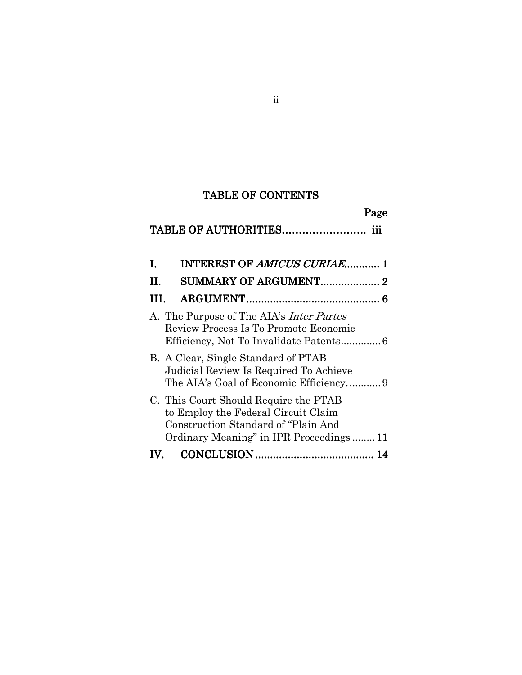# TABLE OF CONTENTS

# TABLE OF AUTHORITIES……………………. iii

| L. | <b>INTEREST OF AMICUS CURIAE 1</b>                                                                                                                            |    |
|----|---------------------------------------------------------------------------------------------------------------------------------------------------------------|----|
| H. | SUMMARY OF ARGUMENT 2                                                                                                                                         |    |
| Ш  |                                                                                                                                                               |    |
|    | A. The Purpose of The AIA's <i>Inter Partes</i><br>Review Process Is To Promote Economic                                                                      |    |
|    | B. A Clear, Single Standard of PTAB<br>Judicial Review Is Required To Achieve<br>The AIA's Goal of Economic Efficiency9                                       |    |
|    | C. This Court Should Require the PTAB<br>to Employ the Federal Circuit Claim<br>Construction Standard of "Plain And<br>Ordinary Meaning" in IPR Proceedings11 |    |
|    |                                                                                                                                                               | 14 |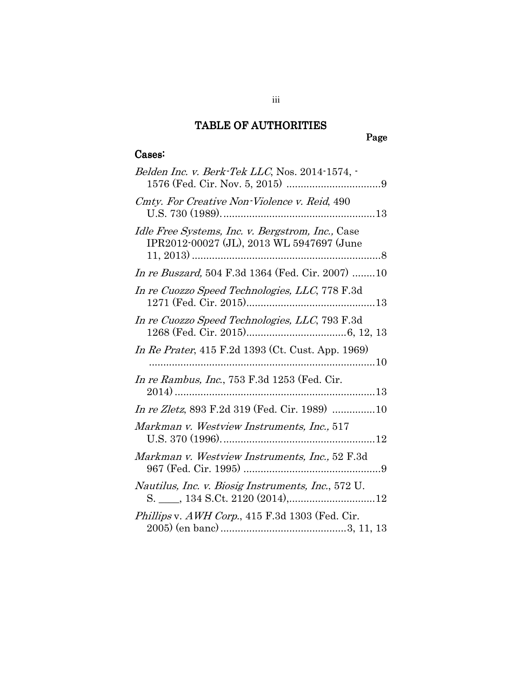## TABLE OF AUTHORITIES

# Page

### Cases:

| Belden Inc. v. Berk-Tek LLC, Nos. 2014-1574, -                                                |
|-----------------------------------------------------------------------------------------------|
| Cmty. For Creative Non-Violence v. Reid, 490                                                  |
| Idle Free Systems, Inc. v. Bergstrom, Inc., Case<br>IPR2012-00027 (JL), 2013 WL 5947697 (June |
| In re Buszard, 504 F.3d 1364 (Fed. Cir. 2007) 10                                              |
| In re Cuozzo Speed Technologies, LLC, 778 F.3d                                                |
| In re Cuozzo Speed Technologies, LLC, 793 F.3d                                                |
| In Re Prater, 415 F.2d 1393 (Ct. Cust. App. 1969)                                             |
| In re Rambus, Inc., 753 F.3d 1253 (Fed. Cir.                                                  |
| <i>In re Zletz</i> , 893 F.2d 319 (Fed. Cir. 1989) 10                                         |
| Markman v. Westview Instruments, Inc., 517                                                    |
| Markman v. Westview Instruments, Inc., 52 F.3d                                                |
| Nautilus, Inc. v. Biosig Instruments, Inc., 572 U.                                            |
| Phillips v. AWH Corp., 415 F.3d 1303 (Fed. Cir.                                               |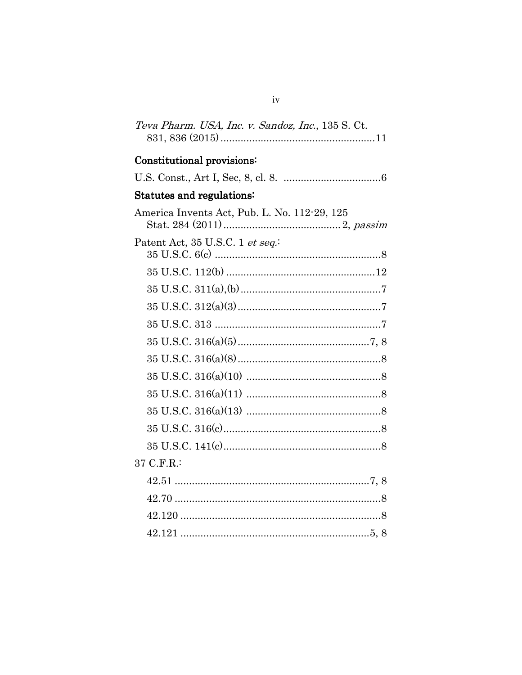| Teva Pharm. USA, Inc. v. Sandoz, Inc., 135 S. Ct. |
|---------------------------------------------------|
| Constitutional provisions:                        |
|                                                   |
| <b>Statutes and regulations:</b>                  |
| America Invents Act, Pub. L. No. 112-29, 125      |
| Patent Act, 35 U.S.C. 1 et seq.                   |
|                                                   |
|                                                   |
|                                                   |
|                                                   |
|                                                   |
|                                                   |
|                                                   |
|                                                   |
|                                                   |
|                                                   |
|                                                   |
| 37 C.F.R.:                                        |
|                                                   |
|                                                   |
|                                                   |
|                                                   |

 $\mathrm{iv}$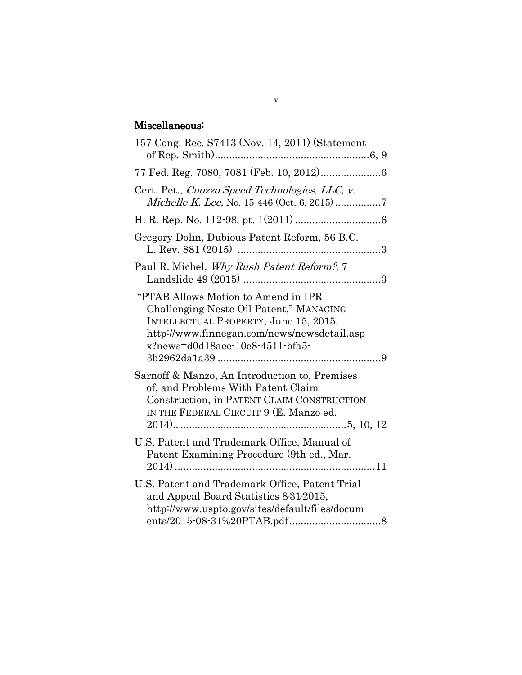## Miscellaneous:

| 157 Cong. Rec. S7413 (Nov. 14, 2011) (Statement                                                                                                                                                           |
|-----------------------------------------------------------------------------------------------------------------------------------------------------------------------------------------------------------|
|                                                                                                                                                                                                           |
| Cert. Pet., Cuozzo Speed Technologies, LLC, v.                                                                                                                                                            |
|                                                                                                                                                                                                           |
| Gregory Dolin, Dubious Patent Reform, 56 B.C.                                                                                                                                                             |
| Paul R. Michel, Why Rush Patent Reform?, 7                                                                                                                                                                |
| "PTAB Allows Motion to Amend in IPR<br>Challenging Neste Oil Patent," MANAGING<br>INTELLECTUAL PROPERTY, June 15, 2015,<br>http://www.finnegan.com/news/newsdetail.asp<br>x?news=d0d18aee-10e8-4511-bfa5- |
| Sarnoff & Manzo, An Introduction to, Premises<br>of, and Problems With Patent Claim<br>Construction, in PATENT CLAIM CONSTRUCTION<br>IN THE FEDERAL CIRCUIT 9 (E. Manzo ed.                               |
| U.S. Patent and Trademark Office, Manual of<br>Patent Examining Procedure (9th ed., Mar.                                                                                                                  |
| U.S. Patent and Trademark Office, Patent Trial<br>and Appeal Board Statistics 8/31/2015,<br>http://www.uspto.gov/sites/default/files/docum                                                                |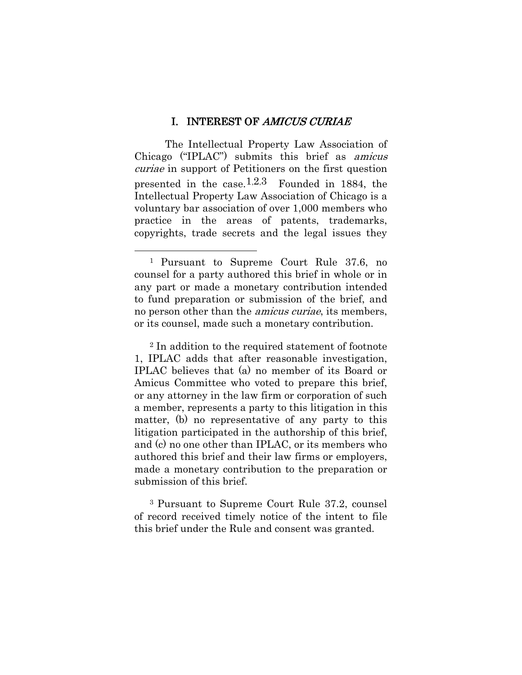#### I. INTEREST OF AMICUS CURIAE

The Intellectual Property Law Association of Chicago ("IPLAC") submits this brief as amicus curiae in support of Petitioners on the first question presented in the case.<sup>1,2,3</sup> Founded in 1884, the Intellectual Property Law Association of Chicago is a voluntary bar association of over 1,000 members who practice in the areas of patents, trademarks, copyrights, trade secrets and the legal issues they

l

<sup>2</sup> In addition to the required statement of footnote 1, IPLAC adds that after reasonable investigation, IPLAC believes that (a) no member of its Board or Amicus Committee who voted to prepare this brief, or any attorney in the law firm or corporation of such a member, represents a party to this litigation in this matter, (b) no representative of any party to this litigation participated in the authorship of this brief, and (c) no one other than IPLAC, or its members who authored this brief and their law firms or employers, made a monetary contribution to the preparation or submission of this brief.

<sup>3</sup> Pursuant to Supreme Court Rule 37.2, counsel of record received timely notice of the intent to file this brief under the Rule and consent was granted.

<sup>1</sup> Pursuant to Supreme Court Rule 37.6, no counsel for a party authored this brief in whole or in any part or made a monetary contribution intended to fund preparation or submission of the brief, and no person other than the amicus curiae, its members, or its counsel, made such a monetary contribution.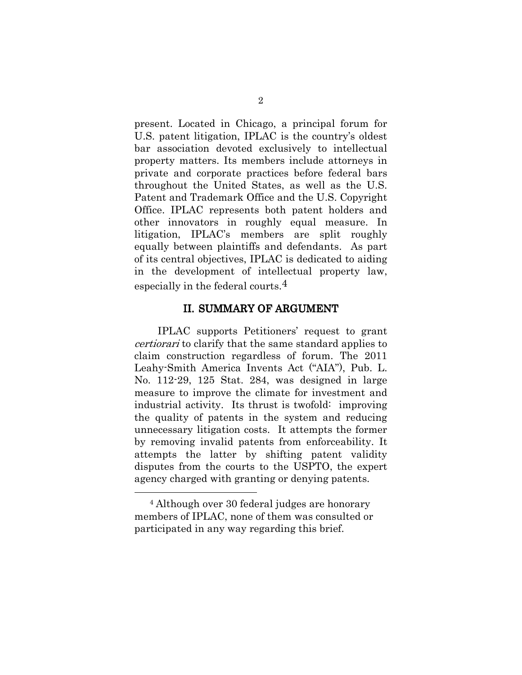present. Located in Chicago, a principal forum for U.S. patent litigation, IPLAC is the country's oldest bar association devoted exclusively to intellectual property matters. Its members include attorneys in private and corporate practices before federal bars throughout the United States, as well as the U.S. Patent and Trademark Office and the U.S. Copyright Office. IPLAC represents both patent holders and other innovators in roughly equal measure. In litigation, IPLAC's members are split roughly equally between plaintiffs and defendants. As part of its central objectives, IPLAC is dedicated to aiding in the development of intellectual property law, especially in the federal courts.4

#### II. SUMMARY OF ARGUMENT

IPLAC supports Petitioners' request to grant certiorari to clarify that the same standard applies to claim construction regardless of forum. The 2011 Leahy-Smith America Invents Act ("AIA"), Pub. L. No. 112-29, 125 Stat. 284, was designed in large measure to improve the climate for investment and industrial activity. Its thrust is twofold: improving the quality of patents in the system and reducing unnecessary litigation costs. It attempts the former by removing invalid patents from enforceability. It attempts the latter by shifting patent validity disputes from the courts to the USPTO, the expert agency charged with granting or denying patents.

l

<sup>4</sup> Although over 30 federal judges are honorary members of IPLAC, none of them was consulted or participated in any way regarding this brief.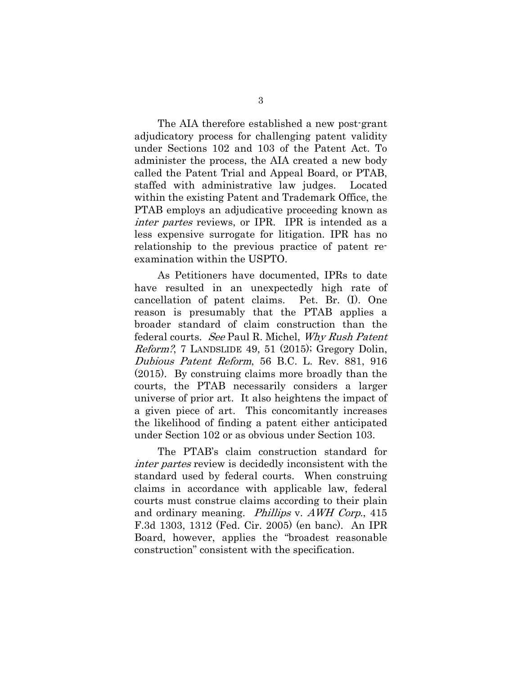The AIA therefore established a new post-grant adjudicatory process for challenging patent validity under Sections 102 and 103 of the Patent Act. To administer the process, the AIA created a new body called the Patent Trial and Appeal Board, or PTAB, staffed with administrative law judges. Located within the existing Patent and Trademark Office, the PTAB employs an adjudicative proceeding known as inter partes reviews, or IPR. IPR is intended as a less expensive surrogate for litigation. IPR has no relationship to the previous practice of patent reexamination within the USPTO.

As Petitioners have documented, IPRs to date have resulted in an unexpectedly high rate of cancellation of patent claims. Pet. Br. (I). One reason is presumably that the PTAB applies a broader standard of claim construction than the federal courts. See Paul R. Michel, Why Rush Patent Reform?, 7 LANDSLIDE 49, 51 (2015); Gregory Dolin, Dubious Patent Reform, 56 B.C. L. Rev. 881, 916 (2015). By construing claims more broadly than the courts, the PTAB necessarily considers a larger universe of prior art. It also heightens the impact of a given piece of art. This concomitantly increases the likelihood of finding a patent either anticipated under Section 102 or as obvious under Section 103.

The PTAB's claim construction standard for inter partes review is decidedly inconsistent with the standard used by federal courts. When construing claims in accordance with applicable law, federal courts must construe claims according to their plain and ordinary meaning. Phillips v. AWH Corp., 415 F.3d 1303, 1312 (Fed. Cir. 2005) (en banc). An IPR Board, however, applies the "broadest reasonable construction" consistent with the specification.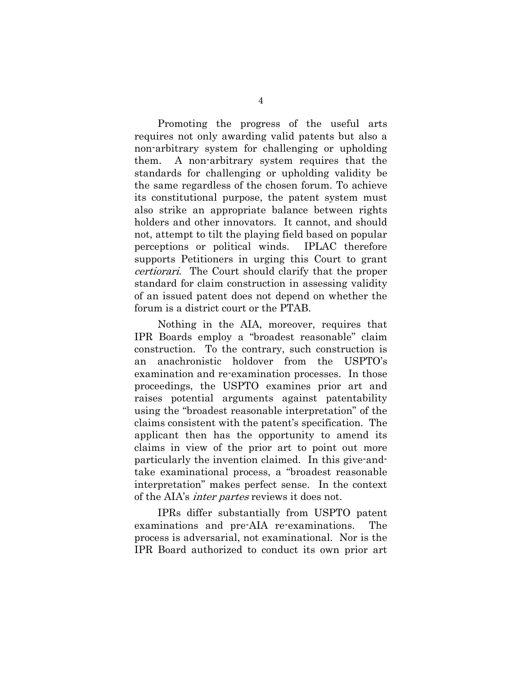Promoting the progress of the useful arts requires not only awarding valid patents but also a non-arbitrary system for challenging or upholding them. A non-arbitrary system requires that the standards for challenging or upholding validity be the same regardless of the chosen forum. To achieve its constitutional purpose, the patent system must also strike an appropriate balance between rights holders and other innovators. It cannot, and should not, attempt to tilt the playing field based on popular perceptions or political winds. IPLAC therefore supports Petitioners in urging this Court to grant certiorari. The Court should clarify that the proper standard for claim construction in assessing validity of an issued patent does not depend on whether the forum is a district court or the PTAB.

Nothing in the AIA, moreover, requires that IPR Boards employ a "broadest reasonable" claim construction. To the contrary, such construction is an anachronistic holdover from the USPTO's examination and re-examination processes. In those proceedings, the USPTO examines prior art and raises potential arguments against patentability using the "broadest reasonable interpretation" of the claims consistent with the patent's specification. The applicant then has the opportunity to amend its claims in view of the prior art to point out more particularly the invention claimed. In this give-andtake examinational process, a "broadest reasonable interpretation" makes perfect sense. In the context of the AIA's inter partes reviews it does not.

IPRs differ substantially from USPTO patent examinations and pre-AIA re-examinations. The process is adversarial, not examinational. Nor is the IPR Board authorized to conduct its own prior art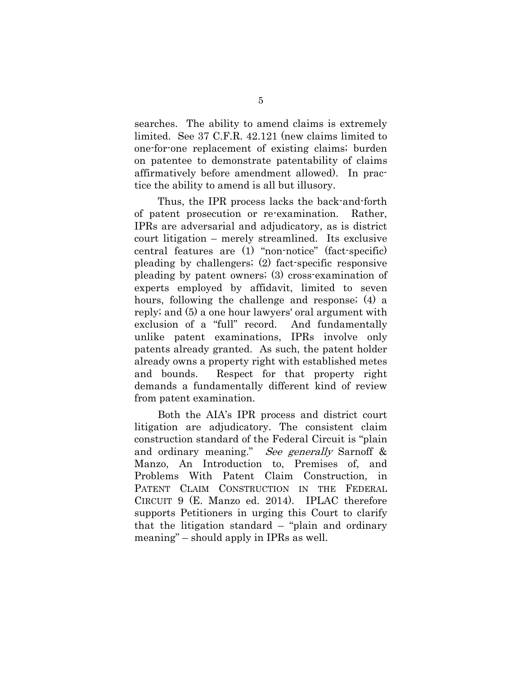searches. The ability to amend claims is extremely limited. See 37 C.F.R. 42.121 (new claims limited to one-for-one replacement of existing claims; burden on patentee to demonstrate patentability of claims affirmatively before amendment allowed). In practice the ability to amend is all but illusory.

Thus, the IPR process lacks the back-and-forth of patent prosecution or re-examination. Rather, IPRs are adversarial and adjudicatory, as is district court litigation – merely streamlined. Its exclusive central features are (1) "non-notice" (fact-specific) pleading by challengers; (2) fact-specific responsive pleading by patent owners; (3) cross-examination of experts employed by affidavit, limited to seven hours, following the challenge and response; (4) a reply; and (5) a one hour lawyers' oral argument with exclusion of a "full" record. And fundamentally unlike patent examinations, IPRs involve only patents already granted. As such, the patent holder already owns a property right with established metes and bounds. Respect for that property right demands a fundamentally different kind of review from patent examination.

Both the AIA's IPR process and district court litigation are adjudicatory. The consistent claim construction standard of the Federal Circuit is "plain and ordinary meaning." See generally Sarnoff & Manzo, An Introduction to, Premises of, and Problems With Patent Claim Construction, in PATENT CLAIM CONSTRUCTION IN THE FEDERAL CIRCUIT 9 (E. Manzo ed. 2014). IPLAC therefore supports Petitioners in urging this Court to clarify that the litigation standard – "plain and ordinary meaning" – should apply in IPRs as well.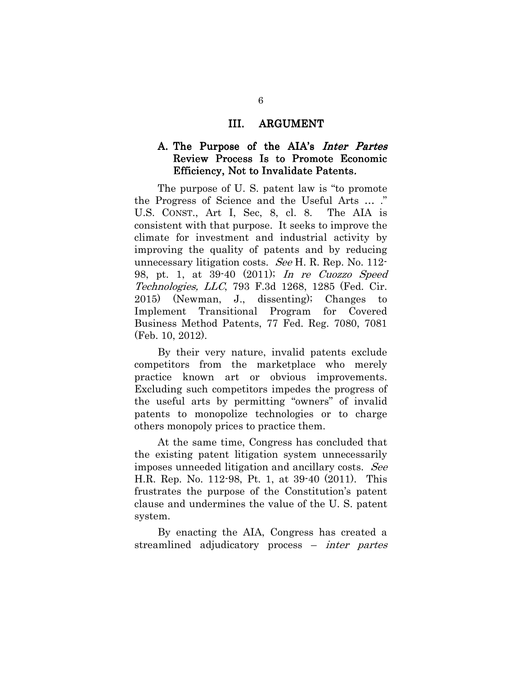#### III. ARGUMENT

#### A. The Purpose of the AIA's Inter Partes Review Process Is to Promote Economic Efficiency, Not to Invalidate Patents.

The purpose of U. S. patent law is "to promote the Progress of Science and the Useful Arts … ." U.S. CONST., Art I, Sec, 8, cl. 8. The AIA is consistent with that purpose. It seeks to improve the climate for investment and industrial activity by improving the quality of patents and by reducing unnecessary litigation costs. See H. R. Rep. No. 112- 98, pt. 1, at 39-40 (2011); In re Cuozzo Speed Technologies, LLC, 793 F.3d 1268, 1285 (Fed. Cir. 2015) (Newman, J., dissenting); Changes to Implement Transitional Program for Covered Business Method Patents, 77 Fed. Reg. 7080, 7081 (Feb. 10, 2012).

By their very nature, invalid patents exclude competitors from the marketplace who merely practice known art or obvious improvements. Excluding such competitors impedes the progress of the useful arts by permitting "owners" of invalid patents to monopolize technologies or to charge others monopoly prices to practice them.

At the same time, Congress has concluded that the existing patent litigation system unnecessarily imposes unneeded litigation and ancillary costs. See H.R. Rep. No. 112-98, Pt. 1, at 39-40 (2011). This frustrates the purpose of the Constitution's patent clause and undermines the value of the U. S. patent system.

By enacting the AIA, Congress has created a streamlined adjudicatory process – inter partes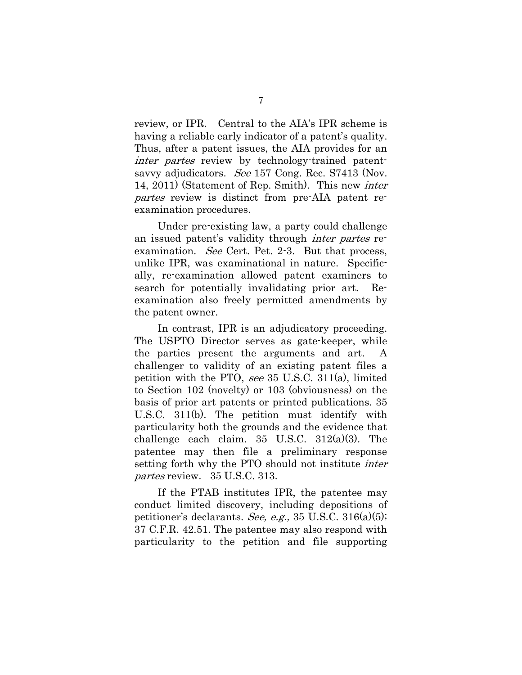review, or IPR. Central to the AIA's IPR scheme is having a reliable early indicator of a patent's quality. Thus, after a patent issues, the AIA provides for an inter partes review by technology-trained patentsavvy adjudicators. See 157 Cong. Rec. S7413 (Nov. 14, 2011) (Statement of Rep. Smith). This new inter partes review is distinct from pre-AIA patent reexamination procedures.

Under pre-existing law, a party could challenge an issued patent's validity through inter partes reexamination. See Cert. Pet. 2-3. But that process, unlike IPR, was examinational in nature. Specifically, re-examination allowed patent examiners to search for potentially invalidating prior art. Reexamination also freely permitted amendments by the patent owner.

In contrast, IPR is an adjudicatory proceeding. The USPTO Director serves as gate-keeper, while the parties present the arguments and art. challenger to validity of an existing patent files a petition with the PTO, see 35 U.S.C. 311(a), limited to Section 102 (novelty) or 103 (obviousness) on the basis of prior art patents or printed publications. 35 U.S.C. 311(b). The petition must identify with particularity both the grounds and the evidence that challenge each claim. 35 U.S.C. 312(a)(3). The patentee may then file a preliminary response setting forth why the PTO should not institute inter partes review. 35 U.S.C. 313.

If the PTAB institutes IPR, the patentee may conduct limited discovery, including depositions of petitioner's declarants. See, e.g., 35 U.S.C. 316(a)(5); 37 C.F.R. 42.51. The patentee may also respond with particularity to the petition and file supporting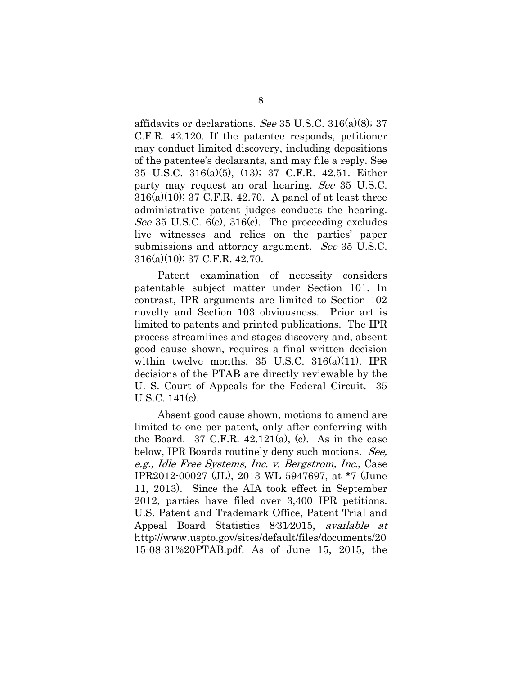affidavits or declarations. See 35 U.S.C. 316(a)(8); 37 C.F.R. 42.120. If the patentee responds, petitioner may conduct limited discovery, including depositions of the patentee's declarants, and may file a reply. See 35 U.S.C. 316(a)(5), (13); 37 C.F.R. 42.51. Either party may request an oral hearing. See 35 U.S.C. 316(a)(10); 37 C.F.R. 42.70. A panel of at least three administrative patent judges conducts the hearing. See 35 U.S.C. 6(c), 316(c). The proceeding excludes live witnesses and relies on the parties' paper submissions and attorney argument. See 35 U.S.C. 316(a)(10); 37 C.F.R. 42.70.

Patent examination of necessity considers patentable subject matter under Section 101. In contrast, IPR arguments are limited to Section 102 novelty and Section 103 obviousness. Prior art is limited to patents and printed publications. The IPR process streamlines and stages discovery and, absent good cause shown, requires a final written decision within twelve months. 35 U.S.C. 316(a)(11). IPR decisions of the PTAB are directly reviewable by the U. S. Court of Appeals for the Federal Circuit. 35 U.S.C. 141(c).

Absent good cause shown, motions to amend are limited to one per patent, only after conferring with the Board. 37 C.F.R.  $42.121(a)$ , (c). As in the case below, IPR Boards routinely deny such motions. See, e.g., Idle Free Systems, Inc. v. Bergstrom, Inc., Case IPR2012-00027 (JL), 2013 WL 5947697, at \*7 (June 11, 2013). Since the AIA took effect in September 2012, parties have filed over 3,400 IPR petitions. U.S. Patent and Trademark Office, Patent Trial and Appeal Board Statistics 8⁄31⁄2015, available at http://www.uspto.gov/sites/default/files/documents/20 15-08-31%20PTAB.pdf. As of June 15, 2015, the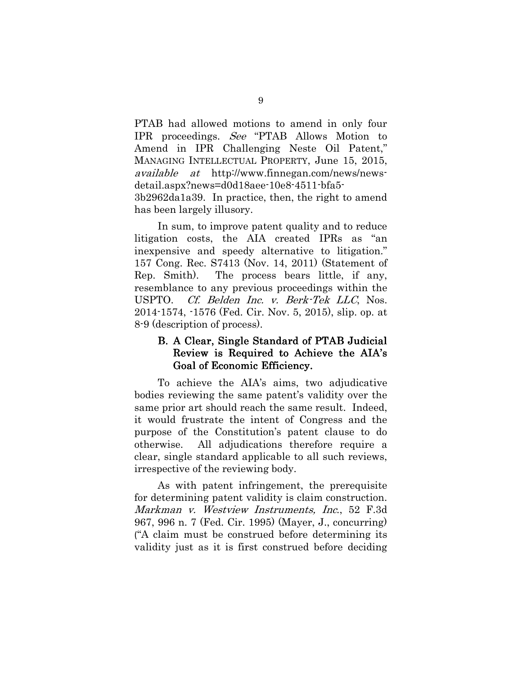PTAB had allowed motions to amend in only four IPR proceedings. See "PTAB Allows Motion to Amend in IPR Challenging Neste Oil Patent," MANAGING INTELLECTUAL PROPERTY, June 15, 2015, available at http://www.finnegan.com/news/newsdetail.aspx?news=d0d18aee-10e8-4511-bfa5- 3b2962da1a39. In practice, then, the right to amend has been largely illusory.

In sum, to improve patent quality and to reduce litigation costs, the AIA created IPRs as "an inexpensive and speedy alternative to litigation." 157 Cong. Rec. S7413 (Nov. 14, 2011) (Statement of Rep. Smith). The process bears little, if any, resemblance to any previous proceedings within the USPTO. Cf. Belden Inc. v. Berk-Tek LLC, Nos. 2014-1574, -1576 (Fed. Cir. Nov. 5, 2015), slip. op. at 8-9 (description of process).

### B. A Clear, Single Standard of PTAB Judicial Review is Required to Achieve the AIA's Goal of Economic Efficiency.

To achieve the AIA's aims, two adjudicative bodies reviewing the same patent's validity over the same prior art should reach the same result. Indeed, it would frustrate the intent of Congress and the purpose of the Constitution's patent clause to do otherwise. All adjudications therefore require a clear, single standard applicable to all such reviews, irrespective of the reviewing body.

As with patent infringement, the prerequisite for determining patent validity is claim construction. Markman v. Westview Instruments, Inc., 52 F.3d 967, 996 n. 7 (Fed. Cir. 1995) (Mayer, J., concurring) ("A claim must be construed before determining its validity just as it is first construed before deciding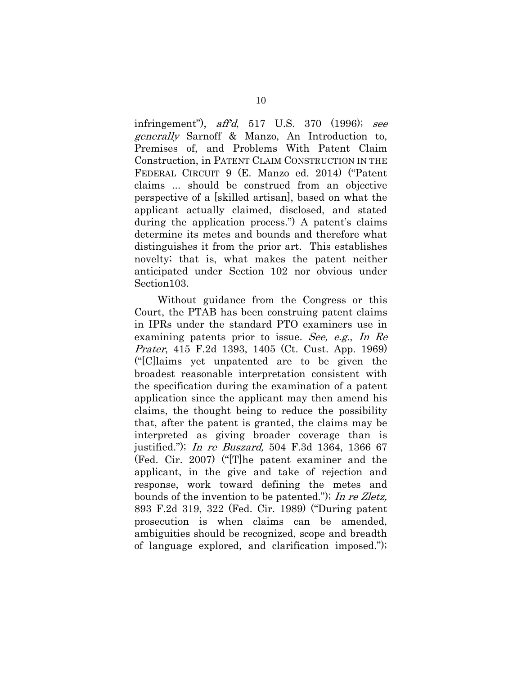infringement"), aff'd, 517 U.S. 370 (1996); see generally Sarnoff & Manzo, An Introduction to, Premises of, and Problems With Patent Claim Construction, in PATENT CLAIM CONSTRUCTION IN THE FEDERAL CIRCUIT 9 (E. Manzo ed. 2014) ("Patent claims ... should be construed from an objective perspective of a [skilled artisan], based on what the applicant actually claimed, disclosed, and stated during the application process.") A patent's claims determine its metes and bounds and therefore what distinguishes it from the prior art. This establishes novelty; that is, what makes the patent neither anticipated under Section 102 nor obvious under Section103.

Without guidance from the Congress or this Court, the PTAB has been construing patent claims in IPRs under the standard PTO examiners use in examining patents prior to issue. See, e.g., In Re Prater, 415 F.2d 1393, 1405 (Ct. Cust. App. 1969) ("[C]laims yet unpatented are to be given the broadest reasonable interpretation consistent with the specification during the examination of a patent application since the applicant may then amend his claims, the thought being to reduce the possibility that, after the patent is granted, the claims may be interpreted as giving broader coverage than is justified."); In re Buszard, 504 F.3d 1364, 1366–67 (Fed. Cir. 2007) ("[T]he patent examiner and the applicant, in the give and take of rejection and response, work toward defining the metes and bounds of the invention to be patented."); In re Zletz, 893 F.2d 319, 322 (Fed. Cir. 1989) ("During patent prosecution is when claims can be amended, ambiguities should be recognized, scope and breadth of language explored, and clarification imposed.");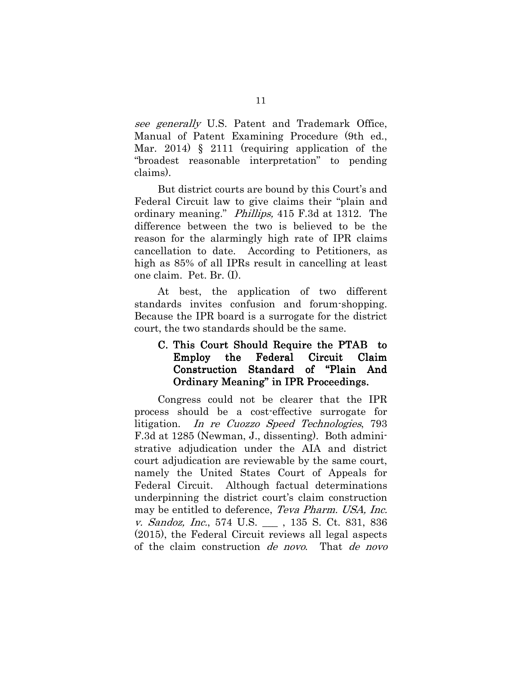see generally U.S. Patent and Trademark Office, Manual of Patent Examining Procedure (9th ed., Mar. 2014) § 2111 (requiring application of the "broadest reasonable interpretation" to pending claims).

But district courts are bound by this Court's and Federal Circuit law to give claims their "plain and ordinary meaning." Phillips, 415 F.3d at 1312. The difference between the two is believed to be the reason for the alarmingly high rate of IPR claims cancellation to date. According to Petitioners, as high as 85% of all IPRs result in cancelling at least one claim. Pet. Br. (I).

At best, the application of two different standards invites confusion and forum-shopping. Because the IPR board is a surrogate for the district court, the two standards should be the same.

### C. This Court Should Require the PTAB to Employ the Federal Circuit Employ the Federal Circuit Claim Construction Standard of "Plain And Ordinary Meaning" in IPR Proceedings.

Congress could not be clearer that the IPR process should be a cost-effective surrogate for litigation. In re Cuozzo Speed Technologies, 793 F.3d at 1285 (Newman, J., dissenting). Both administrative adjudication under the AIA and district court adjudication are reviewable by the same court, namely the United States Court of Appeals for Federal Circuit. Although factual determinations underpinning the district court's claim construction may be entitled to deference, Teva Pharm. USA, Inc. v. Sandoz, Inc., 574 U.S. \_\_\_ , 135 S. Ct. 831, 836 (2015), the Federal Circuit reviews all legal aspects of the claim construction de novo. That de novo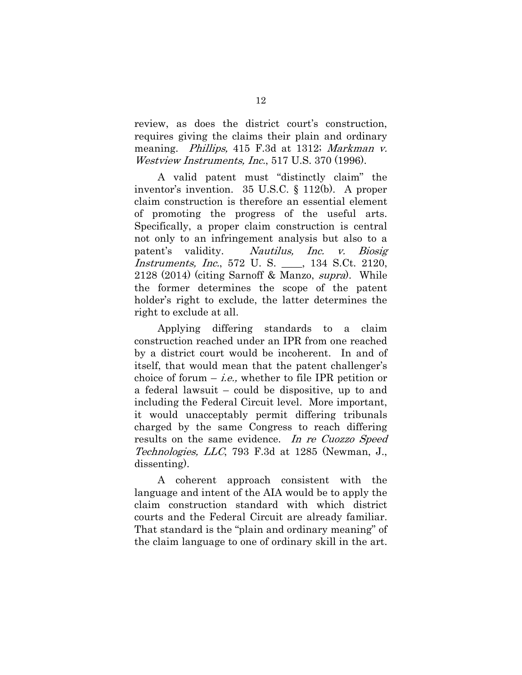review, as does the district court's construction, requires giving the claims their plain and ordinary meaning. Phillips, 415 F.3d at 1312; Markman v. Westview Instruments, Inc., 517 U.S. 370 (1996).

A valid patent must "distinctly claim" the inventor's invention. 35 U.S.C. § 112(b). A proper claim construction is therefore an essential element of promoting the progress of the useful arts. Specifically, a proper claim construction is central not only to an infringement analysis but also to a patent's validity. Nautilus, Inc. v. Biosig Instruments, Inc., 572 U. S. \_\_\_\_, 134 S.Ct. 2120, 2128 (2014) (citing Sarnoff & Manzo, supra). While the former determines the scope of the patent holder's right to exclude, the latter determines the right to exclude at all.

Applying differing standards to a claim construction reached under an IPR from one reached by a district court would be incoherent. In and of itself, that would mean that the patent challenger's choice of forum  $-i.e.,$  whether to file IPR petition or a federal lawsuit – could be dispositive, up to and including the Federal Circuit level. More important, it would unacceptably permit differing tribunals charged by the same Congress to reach differing results on the same evidence. In re Cuozzo Speed Technologies, LLC, 793 F.3d at 1285 (Newman, J., dissenting).

A coherent approach consistent with the language and intent of the AIA would be to apply the claim construction standard with which district courts and the Federal Circuit are already familiar. That standard is the "plain and ordinary meaning" of the claim language to one of ordinary skill in the art.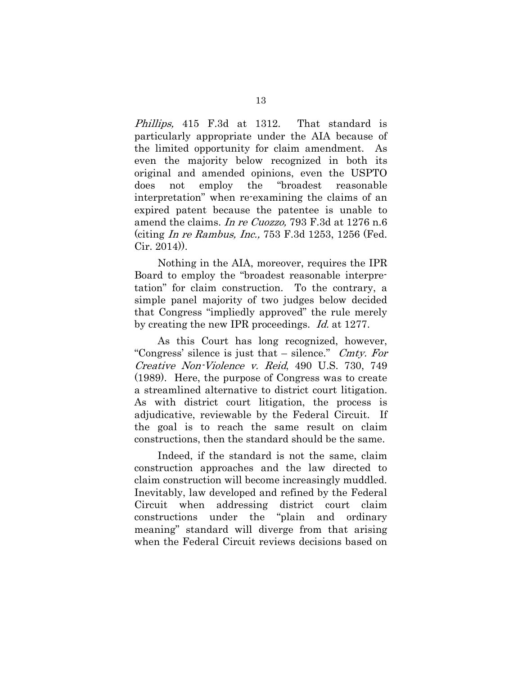Phillips, 415 F.3d at 1312. That standard is particularly appropriate under the AIA because of the limited opportunity for claim amendment. As even the majority below recognized in both its original and amended opinions, even the USPTO does not employ the "broadest reasonable interpretation" when re-examining the claims of an expired patent because the patentee is unable to amend the claims. In re Cuozzo, 793 F.3d at 1276 n.6 (citing In re Rambus, Inc., 753 F.3d 1253, 1256 (Fed. Cir. 2014)).

Nothing in the AIA, moreover, requires the IPR Board to employ the "broadest reasonable interpretation" for claim construction. To the contrary, a simple panel majority of two judges below decided that Congress "impliedly approved" the rule merely by creating the new IPR proceedings. *Id.* at 1277.

As this Court has long recognized, however, "Congress' silence is just that  $-$  silence." Cmty. For Creative Non-Violence v. Reid, 490 U.S. 730, 749 (1989). Here, the purpose of Congress was to create a streamlined alternative to district court litigation. As with district court litigation, the process is adjudicative, reviewable by the Federal Circuit. If the goal is to reach the same result on claim constructions, then the standard should be the same.

Indeed, if the standard is not the same, claim construction approaches and the law directed to claim construction will become increasingly muddled. Inevitably, law developed and refined by the Federal Circuit when addressing district court claim constructions under the "plain and ordinary meaning" standard will diverge from that arising when the Federal Circuit reviews decisions based on